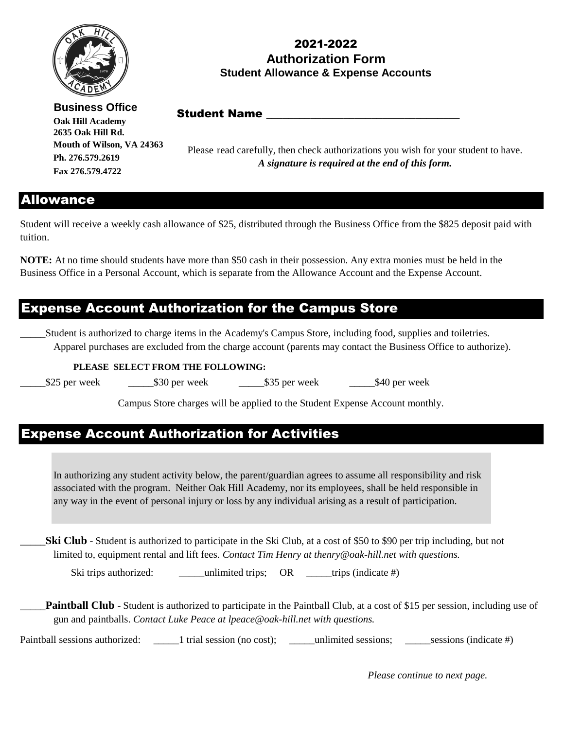

#### 2021-2022 **Authorization Form Student Allowance & Expense Accounts**

**Business Office Oak Hill Academy 2635 Oak Hill Rd. Mouth of Wilson, VA 24363 Ph. 276.579.2619 Fax 276.579.4722**

Student Name

Please read carefully, then check authorizations you wish for your student to have. *A signature is required at the end of this form.* 

#### Allowance

Student will receive a weekly cash allowance of \$25, distributed through the Business Office from the \$825 deposit paid with tuition.

**NOTE:** At no time should students have more than \$50 cash in their possession. Any extra monies must be held in the Business Office in a Personal Account, which is separate from the Allowance Account and the Expense Account.

### Expense Account Authorization for the Campus Store

\_\_\_\_\_Student is authorized to charge items in the Academy's Campus Store, including food, supplies and toiletries. Apparel purchases are excluded from the charge account (parents may contact the Business Office to authorize).

 **PLEASE SELECT FROM THE FOLLOWING:**

\_\_\_\_\_\$25 per week \_\_\_\_\_\$30 per week \_\_\_\_\_\$35 per week \_\_\_\_\_\$40 per week

Campus Store charges will be applied to the Student Expense Account monthly.

## Expense Account Authorization for Activities

In authorizing any student activity below, the parent/guardian agrees to assume all responsibility and risk associated with the program. Neither Oak Hill Academy, nor its employees, shall be held responsible in any way in the event of personal injury or loss by any individual arising as a result of participation.

limited to, equipment rental and lift fees. *Contact Tim Henry at thenry@oak-hill.net with questions.* **Ski Club** - Student is authorized to participate in the Ski Club, at a cost of \$50 to \$90 per trip including, but not

Ski trips authorized: \_\_\_\_\_\_\_\_\_\_unlimited trips; OR \_\_\_\_\_trips (indicate #)

**Paintball Club** - Student is authorized to participate in the Paintball Club, at a cost of \$15 per session, including use of gun and paintballs. *Contact Luke Peace at lpeace@oak-hill.net with questions.*

Paintball sessions authorized: \_\_\_\_\_\_1 trial session (no cost); \_\_\_\_\_unlimited sessions; \_\_\_\_\_\_\_sessions (indicate #)

*Please continue to next page.*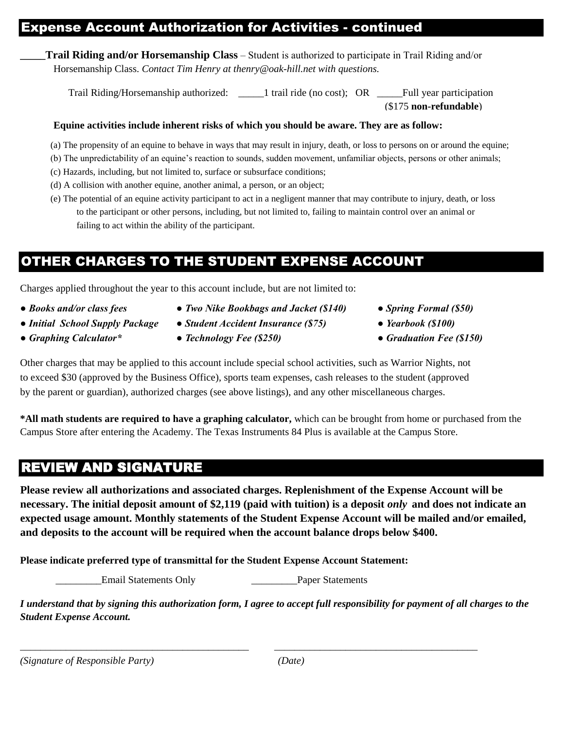### Expense Account Authorization for Activities - continued

**\_\_\_\_\_Trail Riding and/or Horsemanship Class** – Student is authorized to participate in Trail Riding and/or Horsemanship Class. *Contact Tim Henry at thenry@oak-hill.net with questions.*

(\$175 **non-refundable**) Trail Riding/Horsemanship authorized:  $\qquad$  1 trail ride (no cost); OR Full year participation

#### **Equine activities include inherent risks of which you should be aware. They are as follow:**

- (a) The propensity of an equine to behave in ways that may result in injury, death, or loss to persons on or around the equine;
- (b) The unpredictability of an equine's reaction to sounds, sudden movement, unfamiliar objects, persons or other animals;
- (c) Hazards, including, but not limited to, surface or subsurface conditions;
- (d) A collision with another equine, another animal, a person, or an object;
- (e) The potential of an equine activity participant to act in a negligent manner that may contribute to injury, death, or loss to the participant or other persons, including, but not limited to, failing to maintain control over an animal or failing to act within the ability of the participant.

# OTHER CHARGES TO THE STUDENT EXPENSE ACCOUNT

Charges applied throughout the year to this account include, but are not limited to:

- 
- 
- 
- *Books and/or class fees Two Nike Bookbags and Jacket (\$140) Spring Formal (\$50)*
- *Initial School Supply Package Student Accident Insurance (\$75) Yearbook (\$100)*
- *Graphing Calculator\* Technology Fee (\$250) Graduation Fee (\$150)*
- 
- 
- 

Other charges that may be applied to this account include special school activities, such as Warrior Nights, not to exceed \$30 (approved by the Business Office), sports team expenses, cash releases to the student (approved by the parent or guardian), authorized charges (see above listings), and any other miscellaneous charges.

**\*All math students are required to have a graphing calculator,** which can be brought from home or purchased from the Campus Store after entering the Academy. The Texas Instruments 84 Plus is available at the Campus Store.

## REVIEW AND SIGNATURE

**Please review all authorizations and associated charges. Replenishment of the Expense Account will be necessary. The initial deposit amount of \$2,119 (paid with tuition) is a deposit** *only* **and does not indicate an expected usage amount. Monthly statements of the Student Expense Account will be mailed and/or emailed, and deposits to the account will be required when the account balance drops below \$400.** 

**Please indicate preferred type of transmittal for the Student Expense Account Statement:**

Lemail Statements Only **Email Statements Only** Paper Statements

*I understand that by signing this authorization form, I agree to accept full responsibility for payment of all charges to the Student Expense Account.* 

\_\_\_\_\_\_\_\_\_\_\_\_\_\_\_\_\_\_\_\_\_\_\_\_\_\_\_\_\_\_\_\_\_\_\_\_\_\_\_\_\_\_\_\_\_ \_\_\_\_\_\_\_\_\_\_\_\_\_\_\_\_\_\_\_\_\_\_\_\_\_\_\_\_\_\_\_\_\_\_\_\_\_\_\_\_

| (Signature of Responsible Party) | (Date) |
|----------------------------------|--------|
|----------------------------------|--------|